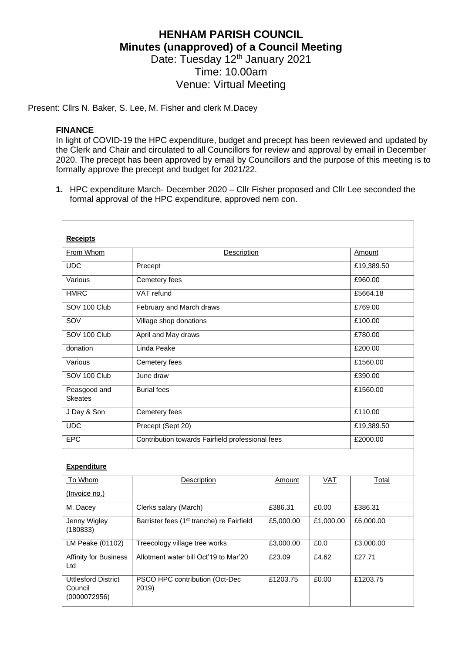## **HENHAM PARISH COUNCIL Minutes (unapproved) of a Council Meeting** Date: Tuesday 12<sup>th</sup> January 2021 Time: 10.00am Venue: Virtual Meeting

Present: Cllrs N. Baker, S. Lee, M. Fisher and clerk M.Dacey

## **FINANCE**

In light of COVID-19 the HPC expenditure, budget and precept has been reviewed and updated by the Clerk and Chair and circulated to all Councillors for review and approval by email in December 2020. The precept has been approved by email by Councillors and the purpose of this meeting is to formally approve the precept and budget for 2021/22.

**1.** HPC expenditure March- December 2020 – Cllr Fisher proposed and Cllr Lee seconded the formal approval of the HPC expenditure, approved nem con.

| <b>Receipts</b>                                       |                                                       |           |           |            |
|-------------------------------------------------------|-------------------------------------------------------|-----------|-----------|------------|
| From Whom                                             | <b>Description</b>                                    | Amount    |           |            |
|                                                       |                                                       |           |           |            |
| UDC                                                   | Precept                                               |           |           | £19,389.50 |
| Various                                               | Cemetery fees                                         |           |           | £960.00    |
| <b>HMRC</b>                                           | VAT refund                                            |           |           | £5664.18   |
| SOV 100 Club                                          | February and March draws                              |           |           | £769.00    |
| SOV                                                   | Village shop donations                                |           |           | £100.00    |
| SOV 100 Club                                          | April and May draws                                   |           |           | £780.00    |
| donation                                              | Linda Peake                                           |           |           | £200.00    |
| Various                                               | Cemetery fees                                         |           |           | £1560.00   |
| SOV 100 Club                                          | June draw                                             |           |           | £390.00    |
| Peasgood and<br><b>Skeates</b>                        | <b>Burial fees</b>                                    |           |           | £1560.00   |
| J Day & Son                                           | Cemetery fees                                         |           |           | £110.00    |
| <b>UDC</b>                                            | Precept (Sept 20)                                     |           |           | £19,389.50 |
| <b>EPC</b>                                            | Contribution towards Fairfield professional fees      |           |           | £2000.00   |
| <b>Expenditure</b>                                    |                                                       |           |           |            |
| To Whom                                               | Description                                           | Amount    | VAT       | Total      |
| (Invoice no.)                                         |                                                       |           |           |            |
| M. Dacey                                              | Clerks salary (March)                                 | £386.31   | £0.00     | £386.31    |
| <b>Jenny Wigley</b><br>(180833)                       | Barrister fees (1 <sup>st</sup> tranche) re Fairfield | £5,000.00 | £1,000.00 | £6,000.00  |
| <b>LM Peake (01102)</b>                               | Treecology village tree works                         | £3,000.00 | £0.0      | £3,000.00  |
| Affinity for Business<br>Ltd                          | Allotment water bill Oct'19 to Mar'20                 | £23.09    | £4.62     | £27.71     |
| <b>Uttlesford District</b><br>Council<br>(0000072956) | PSCO HPC contribution (Oct-Dec<br>2019)               | £1203.75  | £0.00     | £1203.75   |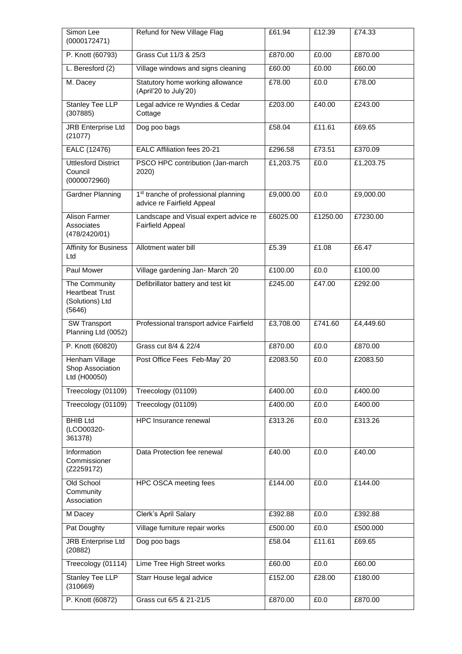| Simon Lee<br>(0000172471)                                            | Refund for New Village Flag                                                    | £61.94    | £12.39   | £74.33    |
|----------------------------------------------------------------------|--------------------------------------------------------------------------------|-----------|----------|-----------|
| P. Knott (60793)                                                     | Grass Cut 11/3 & 25/3                                                          | £870.00   | £0.00    | £870.00   |
| L. Beresford (2)                                                     | Village windows and signs cleaning                                             | £60.00    | £0.00    | E60.00    |
| M. Dacey                                                             | Statutory home working allowance<br>(April'20 to July'20)                      | £78.00    | £0.0     | £78.00    |
| <b>Stanley Tee LLP</b><br>(307885)                                   | Legal advice re Wyndies & Cedar<br>Cottage                                     | £203.00   | £40.00   | £243.00   |
| <b>JRB</b> Enterprise Ltd<br>(21077)                                 | Dog poo bags                                                                   | £58.04    | £11.61   | £69.65    |
| EALC (12476)                                                         | EALC Affiliation fees 20-21                                                    | £296.58   | £73.51   | £370.09   |
| <b>Uttlesford District</b><br>Council<br>(0000072960)                | PSCO HPC contribution (Jan-march<br>2020)                                      | £1,203.75 | £0.0     | £1,203.75 |
| Gardner Planning                                                     | 1 <sup>st</sup> tranche of professional planning<br>advice re Fairfield Appeal | £9,000.00 | £0.0     | £9,000.00 |
| <b>Alison Farmer</b><br>Associates<br>(478/2420/01)                  | Landscape and Visual expert advice re<br><b>Fairfield Appeal</b>               | £6025.00  | £1250.00 | £7230.00  |
| <b>Affinity for Business</b><br>Ltd                                  | Allotment water bill                                                           | £5.39     | £1.08    | £6.47     |
| Paul Mower                                                           | Village gardening Jan- March '20                                               | £100.00   | £0.0     | £100.00   |
| The Community<br><b>Heartbeat Trust</b><br>(Solutions) Ltd<br>(5646) | Defibrillator battery and test kit                                             | £245.00   | £47.00   | £292.00   |
| <b>SW Transport</b><br>Planning Ltd (0052)                           | Professional transport advice Fairfield                                        | £3,708.00 | £741.60  | £4,449.60 |
| P. Knott (60820)                                                     | Grass cut 8/4 & 22/4                                                           | £870.00   | £0.0     | £870.00   |
| Henham Village<br>Shop Association<br>Ltd (H00050)                   | Post Office Fees Feb-May' 20                                                   | £2083.50  | £0.0     | £2083.50  |
| Treecology (01109)                                                   | Treecology (01109)                                                             | £400.00   | £0.0     | £400.00   |
| Treecology (01109)                                                   | Treecology (01109)                                                             | £400.00   | £0.0     | £400.00   |
| <b>BHIB Ltd</b><br>(LCO00320-<br>361378)                             | HPC Insurance renewal                                                          | £313.26   | E0.0     | £313.26   |
| Information<br>Commissioner<br>(Z2259172)                            | Data Protection fee renewal                                                    | £40.00    | £0.0     | £40.00    |
| Old School<br>Community<br>Association                               | HPC OSCA meeting fees                                                          | £144.00   | £0.0     | £144.00   |
| M Dacey                                                              | Clerk's April Salary                                                           | £392.88   | £0.0     | £392.88   |
| Pat Doughty                                                          | Village furniture repair works                                                 | £500.00   | £0.0     | £500.000  |
| <b>JRB Enterprise Ltd</b><br>(20882)                                 | Dog poo bags                                                                   | £58.04    | £11.61   | £69.65    |
| Treecology (01114)                                                   | Lime Tree High Street works                                                    | £60.00    | £0.0     | £60.00    |
| <b>Stanley Tee LLP</b><br>(310669)                                   | Starr House legal advice                                                       | £152.00   | £28.00   | £180.00   |
| P. Knott (60872)                                                     | Grass cut 6/5 & 21-21/5                                                        | £870.00   | £0.0     | £870.00   |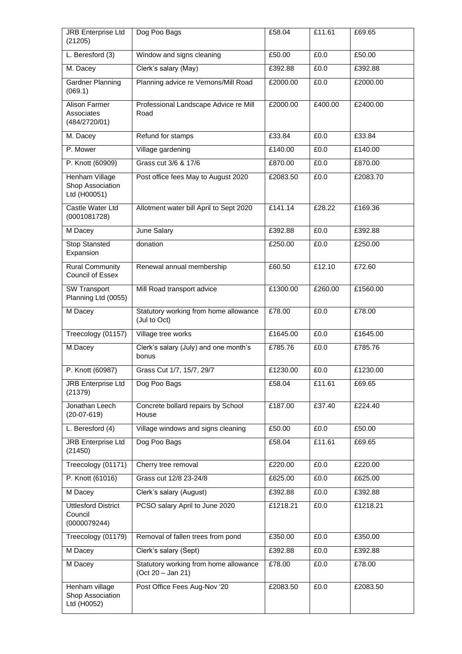| <b>JRB Enterprise Ltd</b><br>(21205)                  | Dog Poo Bags                                               | £58.04   | £11.61            | £69.65   |
|-------------------------------------------------------|------------------------------------------------------------|----------|-------------------|----------|
| L. Beresford (3)                                      | Window and signs cleaning                                  | £50.00   | £0.0              | £50.00   |
| M. Dacey                                              | Clerk's salary (May)                                       | £392.88  | £0.0              | £392.88  |
| <b>Gardner Planning</b><br>(069.1)                    | Planning advice re Vernons/Mill Road                       | £2000.00 | £0.0              | £2000.00 |
| Alison Farmer<br>Associates<br>(484/2720/01)          | Professional Landscape Advice re Mill<br>Road              | £2000.00 | £400.00           | £2400.00 |
| M. Dacey                                              | Refund for stamps                                          | £33.84   | £0.0              | £33.84   |
| P. Mower                                              | Village gardening                                          | £140.00  | £0.0              | £140.00  |
| P. Knott (60909)                                      | Grass cut 3/6 & 17/6                                       | £870.00  | £0.0              | £870.00  |
| Henham Village<br>Shop Association<br>Ltd (H00051)    | Post office fees May to August 2020                        | £2083.50 | £0.0              | £2083.70 |
| Castle Water Ltd<br>(0001081728)                      | Allotment water bill April to Sept 2020                    | £141.14  | £28.22            | £169.36  |
| M Dacey                                               | June Salary                                                | £392.88  | £0.0              | £392.88  |
| <b>Stop Stansted</b><br>Expansion                     | donation                                                   | £250.00  | £0.0              | £250.00  |
| <b>Rural Community</b><br><b>Council of Essex</b>     | Renewal annual membership                                  | £60.50   | £12.10            | £72.60   |
| <b>SW Transport</b><br>Planning Ltd (0055)            | Mill Road transport advice                                 | £1300.00 | £260.00           | £1560.00 |
| M Dacey                                               | Statutory working from home allowance<br>(Jul to Oct)      | £78.00   | $\overline{£0.0}$ | £78.00   |
| Treecology (01157)                                    | Village tree works                                         | £1645.00 | £0.0              | £1645.00 |
| M.Dacey                                               | Clerk's salary (July) and one month's<br>bonus             | £785.76  | £0.0              | £785.76  |
| P. Knott (60987)                                      | Grass Cut 1/7, 15/7, 29/7                                  | £1230.00 | £0.0              | £1230.00 |
| <b>JRB</b> Enterprise Ltd<br>(21379)                  | Dog Poo Bags                                               | £58.04   | £11.61            | £69.65   |
| Jonathan Leech<br>$(20-07-619)$                       | Concrete bollard repairs by School<br>House                | £187.00  | £37.40            | £224.40  |
| L. Beresford (4)                                      | Village windows and signs cleaning                         | £50.00   | £0.0              | £50.00   |
| <b>JRB</b> Enterprise Ltd<br>(21450)                  | Dog Poo Bags                                               | £58.04   | £11.61            | £69.65   |
| Treecology (01171)                                    | Cherry tree removal                                        | £220.00  | £0.0              | £220.00  |
| P. Knott (61016)                                      | Grass cut 12/8 23-24/8                                     | £625.00  | £0.0              | £625.00  |
| M Dacey                                               | Clerk's salary (August)                                    | £392.88  | £0.0              | £392.88  |
| <b>Uttlesford District</b><br>Council<br>(0000079244) | PCSO salary April to June 2020                             | £1218.21 | £0.0              | £1218.21 |
| Treecology (01179)                                    | Removal of fallen trees from pond                          | £350.00  | £0.0              | £350.00  |
| M Dacey                                               | Clerk's salary (Sept)                                      | £392.88  | E <sub>0.0</sub>  | £392.88  |
| M Dacey                                               | Statutory working from home allowance<br>(Oct 20 - Jan 21) | £78.00   | £0.0              | £78.00   |
| Henham village<br>Shop Association<br>Ltd (H0052)     | Post Office Fees Aug-Nov '20                               | £2083.50 | £0.0              | £2083.50 |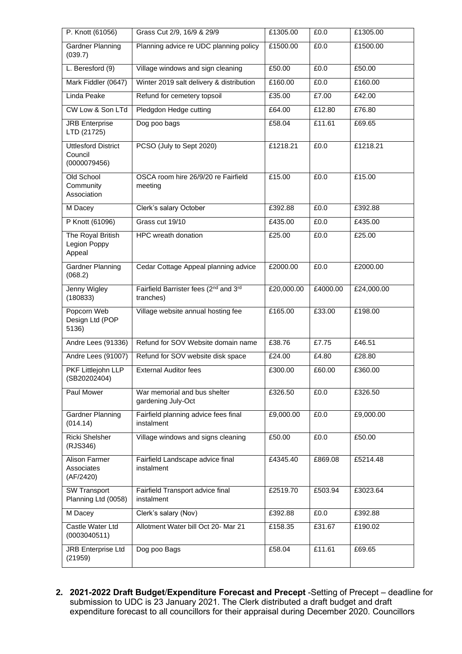| P. Knott (61056)                                      | Grass Cut 2/9, 16/9 & 29/9                         | £1305.00   | £0.0     | £1305.00   |
|-------------------------------------------------------|----------------------------------------------------|------------|----------|------------|
| Gardner Planning<br>(039.7)                           | Planning advice re UDC planning policy             | £1500.00   | £0.0     | £1500.00   |
| L. Beresford (9)                                      | Village windows and sign cleaning                  | £50.00     | £0.0     | £50.00     |
| Mark Fiddler (0647)                                   | Winter 2019 salt delivery & distribution           | £160.00    | £0.0     | £160.00    |
| Linda Peake                                           | Refund for cemetery topsoil                        | £35.00     | £7.00    | £42.00     |
| CW Low & Son LTd                                      | Pledgdon Hedge cutting                             | £64.00     | £12.80   | £76.80     |
| <b>JRB</b> Enterprise<br>LTD (21725)                  | Dog poo bags                                       | £58.04     | £11.61   | £69.65     |
| <b>Uttlesford District</b><br>Council<br>(0000079456) | PCSO (July to Sept 2020)                           | £1218.21   | £0.0     | £1218.21   |
| Old School<br>Community<br>Association                | OSCA room hire 26/9/20 re Fairfield<br>meeting     | £15.00     | £0.0     | £15.00     |
| M Dacey                                               | Clerk's salary October                             | £392.88    | £0.0     | £392.88    |
| P Knott (61096)                                       | Grass cut 19/10                                    | £435.00    | £0.0     | £435.00    |
| The Royal British<br>Legion Poppy<br>Appeal           | <b>HPC</b> wreath donation                         | £25.00     | £0.0     | £25.00     |
| Gardner Planning<br>(068.2)                           | Cedar Cottage Appeal planning advice               | £2000.00   | £0.0     | £2000.00   |
| Jenny Wigley<br>(180833)                              | Fairfield Barrister fees (2nd and 3rd<br>tranches) | £20,000.00 | £4000.00 | £24,000.00 |
| Popcorn Web<br>Design Ltd (POP<br>5136)               | Village website annual hosting fee                 | £165.00    | £33.00   | £198.00    |
| Andre Lees (91336)                                    | Refund for SOV Website domain name                 | £38.76     | £7.75    | £46.51     |
| Andre Lees (91007)                                    | Refund for SOV website disk space                  | £24.00     | £4.80    | £28.80     |
| PKF Littlejohn LLP<br>(SB20202404)                    | <b>External Auditor fees</b>                       | £300.00    | £60.00   | £360.00    |
| Paul Mower                                            | War memorial and bus shelter<br>gardening July-Oct | £326.50    | £0.0     | £326.50    |
| Gardner Planning<br>(014.14)                          | Fairfield planning advice fees final<br>instalment | £9,000.00  | £0.0     | £9,000.00  |
| Ricki Shelsher<br>(RJS346)                            | Village windows and signs cleaning                 | £50.00     | £0.0     | £50.00     |
| <b>Alison Farmer</b><br>Associates<br>(AF/2420)       | Fairfield Landscape advice final<br>instalment     | £4345.40   | £869.08  | £5214.48   |
| <b>SW Transport</b><br>Planning Ltd (0058)            | Fairfield Transport advice final<br>instalment     | £2519.70   | £503.94  | £3023.64   |
| M Dacey                                               | Clerk's salary (Nov)                               | £392.88    | £0.0     | £392.88    |
| Castle Water Ltd<br>(0003040511)                      | Allotment Water bill Oct 20- Mar 21                | £158.35    | £31.67   | £190.02    |
| <b>JRB Enterprise Ltd</b><br>(21959)                  | Dog poo Bags                                       | £58.04     | £11.61   | £69.65     |

**2. 2021-2022 Draft Budget**/**Expenditure Forecast and Precept** -Setting of Precept – deadline for submission to UDC is 23 January 2021. The Clerk distributed a draft budget and draft expenditure forecast to all councillors for their appraisal during December 2020. Councillors